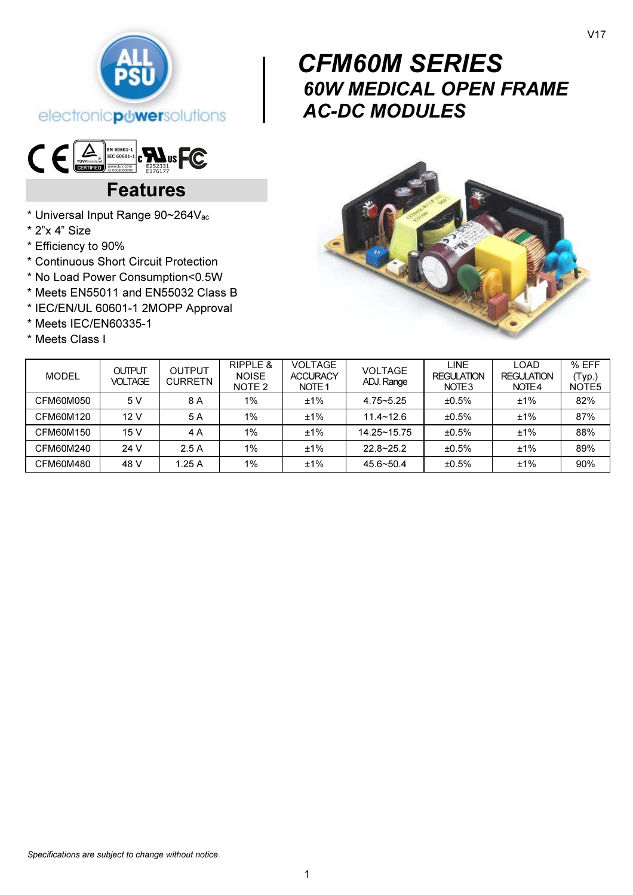

# $\textbf{C}\in\mathbb{E}_{\frac{\text{Tr}(\text{V/N})\text{min}(\mathbf{S})}{\text{KSE}}}\mathbb{E}_{\mathbb{E}_{\mathbb{E}_{\mathbb{E}_{\mathbb{E}_{\mathbb{E}}}}\left[\text{N}^{\text{N}}\right]}\text{min}^{\text{N} \text{min} \text{min}}_{\text{KSE}^{\text{N}}\text{min}^{\text{N}}_{\text{KSE}^{\text{N}}}\text{min}^{\text{N}}_{\text{KSE}^{\text{N}}_{\text{KSE}^{\text{N}}_{\text{KSE}^{\text{N}}_{\text{KSE}^{\text{N}}_{\$

# Features

- \* Universal Input Range 90~264Vac
- \* 2"x 4" Size
- \* Efficiency to 90%
- \* Continuous Short Circuit Protection
- \* No Load Power Consumption<0.5W
- \* Meets EN55011 and EN55032 Class B
- \* IEC/EN/UL 60601-1 2MOPP Approval
- \* Meets IEC/EN60335-1
- \* Meets Class I

# $\begin{bmatrix} & & C_1 \\ & & 60 \\ & & A_1 \end{bmatrix}$  CFM60M SERIES 60W MEDICAL OPEN FRAME AC-DC MODULES



| <b>MODEL</b> | <b>OUTPUT</b><br><b>VOLTAGE</b> | OUTPUT<br><b>CURRETN</b> | RIPPLE &<br><b>NOISE</b><br>NOTE 2 | <b>VOLTAGE</b><br><b>ACCURACY</b><br>NOTE <sub>1</sub> | <b>VOLTAGE</b><br>ADJ. Range | <b>LINE</b><br><b>REGULATION</b><br>NOTE <sub>3</sub> | LOAD<br><b>REGULATION</b><br>NOTE4 | % EFF<br>(Typ.)<br>NOTE <sub>5</sub> |
|--------------|---------------------------------|--------------------------|------------------------------------|--------------------------------------------------------|------------------------------|-------------------------------------------------------|------------------------------------|--------------------------------------|
| CFM60M050    | 5 V                             | 8 A                      | 1%                                 | ±1%                                                    | $4.75 - 5.25$                | ±0.5%                                                 | ±1%                                | 82%                                  |
| CFM60M120    | 12V                             | 5 A                      | $1\%$                              | $±1\%$                                                 | $11.4 - 12.6$                | ±0.5%                                                 | ±1%                                | 87%                                  |
| CFM60M150    | 15V                             | 4 A                      | $1\%$                              | ±1%                                                    | $14.25 - 15.75$              | ±0.5%                                                 | ±1%                                | 88%                                  |
| CFM60M240    | 24 V                            | 2.5A                     | 1%                                 | $±1\%$                                                 | $22.8 - 25.2$                | ±0.5%                                                 | ±1%                                | 89%                                  |
| CFM60M480    | 48 V                            | 1.25A                    | 1%                                 | ±1%                                                    | $45.6 - 50.4$                | ±0.5%                                                 | ±1%                                | 90%                                  |